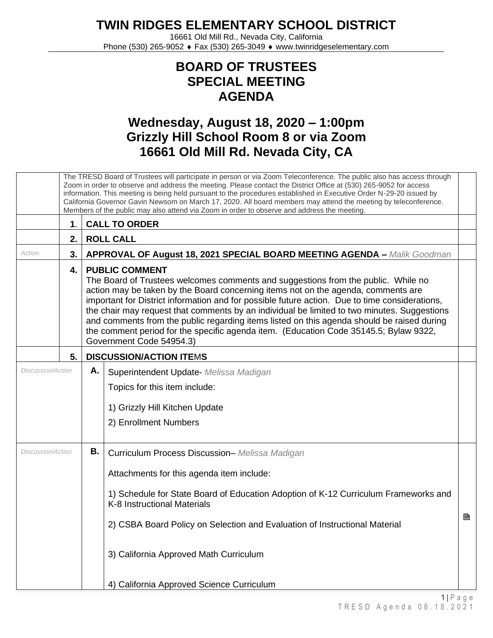## **TWIN RIDGES ELEMENTARY SCHOOL DISTRICT**

16661 Old Mill Rd., Nevada City, California Phone (530) 265-9052 ♦ Fax (530) 265-3049 ♦ www.twinridgeselementary.com

## **BOARD OF TRUSTEES SPECIAL MEETING AGENDA**

## **Wednesday, August 18, 2020 – 1:00pm Grizzly Hill School Room 8 or via Zoom 16661 Old Mill Rd. Nevada City, CA**

|                   |               | The TRESD Board of Trustees will participate in person or via Zoom Teleconference. The public also has access through<br>Zoom in order to observe and address the meeting. Please contact the District Office at (530) 265-9052 for access<br>information. This meeting is being held pursuant to the procedures established in Executive Order N-29-20 issued by<br>California Governor Gavin Newsom on March 17, 2020. All board members may attend the meeting by teleconference.<br>Members of the public may also attend via Zoom in order to observe and address the meeting.                                 |                                                                                                                                                                                                                                                                                                                                                                                        |   |  |  |  |
|-------------------|---------------|---------------------------------------------------------------------------------------------------------------------------------------------------------------------------------------------------------------------------------------------------------------------------------------------------------------------------------------------------------------------------------------------------------------------------------------------------------------------------------------------------------------------------------------------------------------------------------------------------------------------|----------------------------------------------------------------------------------------------------------------------------------------------------------------------------------------------------------------------------------------------------------------------------------------------------------------------------------------------------------------------------------------|---|--|--|--|
|                   | $\mathbf 1$ . |                                                                                                                                                                                                                                                                                                                                                                                                                                                                                                                                                                                                                     | <b>CALL TO ORDER</b>                                                                                                                                                                                                                                                                                                                                                                   |   |  |  |  |
|                   | 2.            | <b>ROLL CALL</b>                                                                                                                                                                                                                                                                                                                                                                                                                                                                                                                                                                                                    |                                                                                                                                                                                                                                                                                                                                                                                        |   |  |  |  |
| Action            | 3.            | <b>APPROVAL OF August 18, 2021 SPECIAL BOARD MEETING AGENDA - Malik Goodman</b>                                                                                                                                                                                                                                                                                                                                                                                                                                                                                                                                     |                                                                                                                                                                                                                                                                                                                                                                                        |   |  |  |  |
|                   | 4.            | <b>PUBLIC COMMENT</b><br>The Board of Trustees welcomes comments and suggestions from the public. While no<br>action may be taken by the Board concerning items not on the agenda, comments are<br>important for District information and for possible future action. Due to time considerations,<br>the chair may request that comments by an individual be limited to two minutes. Suggestions<br>and comments from the public regarding items listed on this agenda should be raised during<br>the comment period for the specific agenda item. (Education Code 35145.5; Bylaw 9322,<br>Government Code 54954.3) |                                                                                                                                                                                                                                                                                                                                                                                        |   |  |  |  |
|                   | 5.            | <b>DISCUSSION/ACTION ITEMS</b>                                                                                                                                                                                                                                                                                                                                                                                                                                                                                                                                                                                      |                                                                                                                                                                                                                                                                                                                                                                                        |   |  |  |  |
| Discussion/Action |               | Α.                                                                                                                                                                                                                                                                                                                                                                                                                                                                                                                                                                                                                  | Superintendent Update- Melissa Madigan<br>Topics for this item include:<br>1) Grizzly Hill Kitchen Update<br>2) Enrollment Numbers                                                                                                                                                                                                                                                     |   |  |  |  |
| Discussion/Action |               | В.                                                                                                                                                                                                                                                                                                                                                                                                                                                                                                                                                                                                                  | Curriculum Process Discussion- Melissa Madigan<br>Attachments for this agenda item include:<br>1) Schedule for State Board of Education Adoption of K-12 Curriculum Frameworks and<br>K-8 Instructional Materials<br>2) CSBA Board Policy on Selection and Evaluation of Instructional Material<br>3) California Approved Math Curriculum<br>4) California Approved Science Curriculum | B |  |  |  |